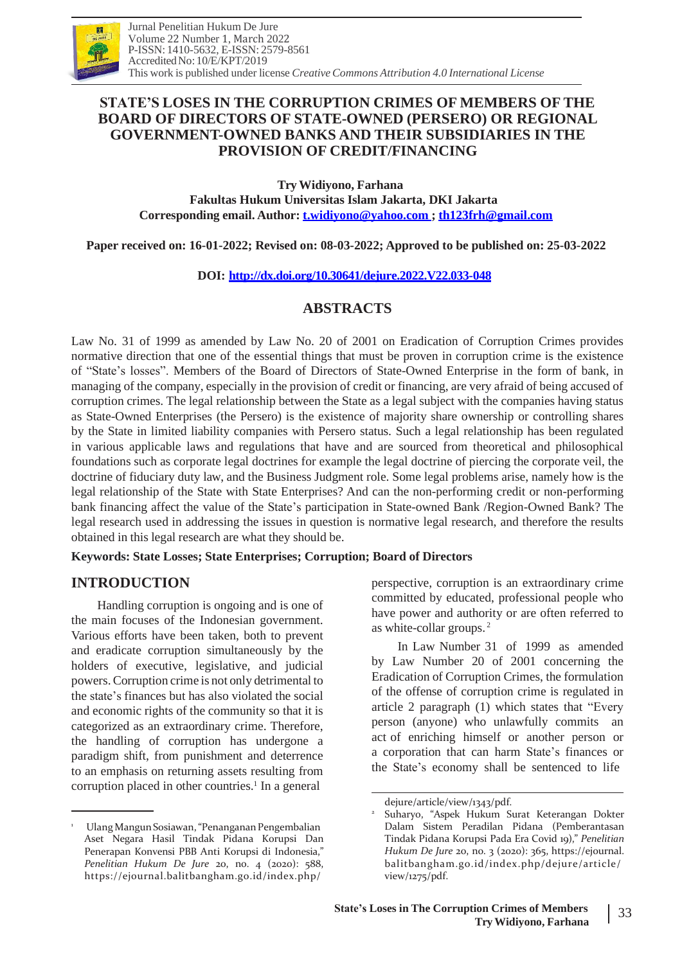

## **STATE'S LOSES IN THE CORRUPTION CRIMES OF MEMBERS OF THE BOARD OF DIRECTORS OF STATE-OWNED (PERSERO) OR REGIONAL GOVERNMENT-OWNED BANKS AND THEIR SUBSIDIARIES IN THE PROVISION OF CREDIT/FINANCING**

**TryWidiyono, Farhana Fakultas Hukum Universitas Islam Jakarta, DKI Jakarta Corresponding email. Author: [t.widiyono@yahoo.com](mailto:t.widiyono@yahoo.com) ; [th123frh@gmail.com](mailto:th123frh@gmail.com)**

**Paper received on: 16-01-2022; Revised on: 08-03-2022; Approved to be published on: 25-03-2022**

### **DOI: <http://dx.doi.org/10.30641/dejure.2022.V22.033-048>**

# **ABSTRACTS**

Law No. 31 of 1999 as amended by Law No. 20 of 2001 on Eradication of Corruption Crimes provides normative direction that one of the essential things that must be proven in corruption crime is the existence of "State's losses". Members of the Board of Directors of State-Owned Enterprise in the form of bank, in managing of the company, especially in the provision of credit or financing, are very afraid of being accused of corruption crimes. The legal relationship between the State as a legal subject with the companies having status as State-Owned Enterprises (the Persero) is the existence of majority share ownership or controlling shares by the State in limited liability companies with Persero status. Such a legal relationship has been regulated in various applicable laws and regulations that have and are sourced from theoretical and philosophical foundations such as corporate legal doctrines for example the legal doctrine of piercing the corporate veil, the doctrine of fiduciary duty law, and the Business Judgment role. Some legal problems arise, namely how is the legal relationship of the State with State Enterprises? And can the non-performing credit or non-performing bank financing affect the value of the State's participation in State-owned Bank /Region-Owned Bank? The legal research used in addressing the issues in question is normative legal research, and therefore the results obtained in this legal research are what they should be.

**Keywords: State Losses; State Enterprises; Corruption; Board of Directors**

### **INTRODUCTION**

Handling corruption is ongoing and is one of the main focuses of the Indonesian government. Various efforts have been taken, both to prevent and eradicate corruption simultaneously by the holders of executive, legislative, and judicial powers.Corruption crime is not only detrimental to the state's finances but has also violated the social and economic rights of the community so that it is categorized as an extraordinary crime. Therefore, the handling of corruption has undergone a paradigm shift, from punishment and deterrence to an emphasis on returning assets resulting from corruption placed in other countries.<sup>1</sup> In a general

Ulang Mangun Sosiawan, "Penanganan Pengembalian Aset Negara Hasil Tindak Pidana Korupsi Dan Penerapan Konvensi PBB Anti Korupsi di Indonesia," *Penelitian Hukum De Jure* 20, no. 4 (2020): 588, https://ejournal.balitbangham.go.id/index.php/

perspective, corruption is an extraordinary crime committed by educated, professional people who have power and authority or are often referred to as white-collar groups. 2

In Law Number 31 of 1999 as amended by Law Number 20 of 2001 concerning the Eradication of Corruption Crimes, the formulation of the offense of corruption crime is regulated in article 2 paragraph (1) which states that "Every person (anyone) who unlawfully commits an act of enriching himself or another person or a corporation that can harm State's finances or the State's economy shall be sentenced to life

2

dejure/article/view/1343/pdf.

Suharyo, "Aspek Hukum Surat Keterangan Dokter Dalam Sistem Peradilan Pidana (Pemberantasan Tindak Pidana Korupsi Pada Era Covid 19)," *Penelitian Hukum De Jure* 20, no. 3 (2020): 365, https://ejournal. balitbangham.go.id/index.php/dejure/article/ view/1275/pdf.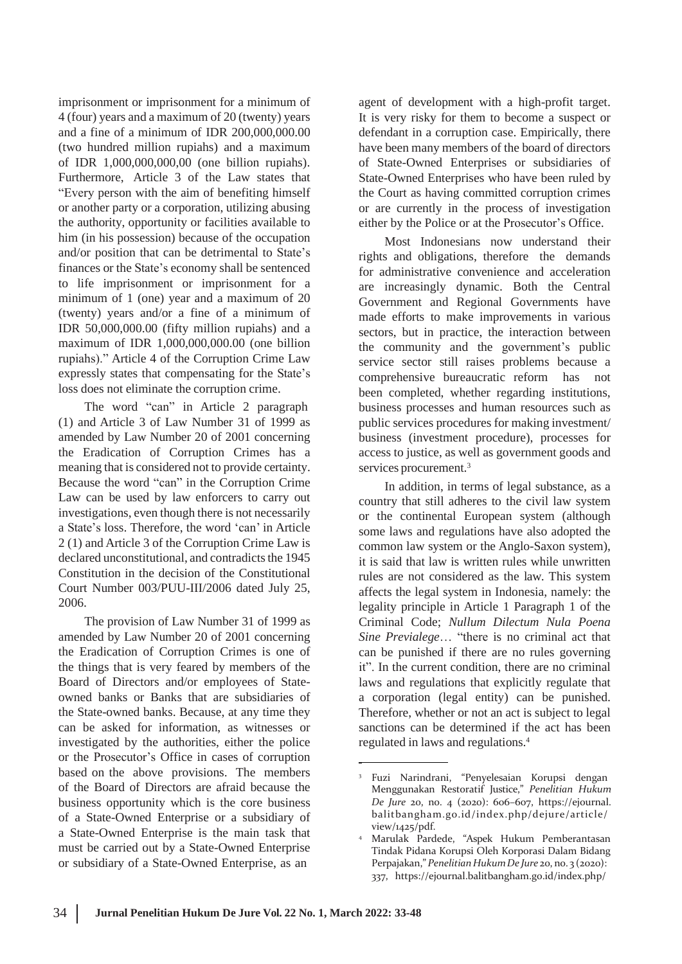imprisonment or imprisonment for a minimum of 4 (four) years and a maximum of 20 (twenty) years and a fine of a minimum of IDR 200,000,000.00 (two hundred million rupiahs) and a maximum of IDR 1,000,000,000,00 (one billion rupiahs). Furthermore, Article 3 of the Law states that "Every person with the aim of benefiting himself or another party or a corporation, utilizing abusing the authority, opportunity or facilities available to him (in his possession) because of the occupation and/or position that can be detrimental to State's finances or the State's economy shall be sentenced to life imprisonment or imprisonment for a minimum of 1 (one) year and a maximum of 20 (twenty) years and/or a fine of a minimum of IDR 50,000,000.00 (fifty million rupiahs) and a maximum of IDR 1,000,000,000.00 (one billion rupiahs)." Article 4 of the Corruption Crime Law expressly states that compensating for the State's loss does not eliminate the corruption crime.

The word "can" in Article 2 paragraph (1) and Article 3 of Law Number 31 of 1999 as amended by Law Number 20 of 2001 concerning the Eradication of Corruption Crimes has a meaning that is considered not to provide certainty. Because the word "can" in the Corruption Crime Law can be used by law enforcers to carry out investigations, even though there is not necessarily a State's loss. Therefore, the word 'can' in Article 2 (1) and Article 3 of the Corruption Crime Law is declared unconstitutional, and contradicts the 1945 Constitution in the decision of the Constitutional Court Number 003/PUU-III/2006 dated July 25, 2006.

The provision of Law Number 31 of 1999 as amended by Law Number 20 of 2001 concerning the Eradication of Corruption Crimes is one of the things that is very feared by members of the Board of Directors and/or employees of Stateowned banks or Banks that are subsidiaries of the State-owned banks. Because, at any time they can be asked for information, as witnesses or investigated by the authorities, either the police or the Prosecutor's Office in cases of corruption based on the above provisions. The members of the Board of Directors are afraid because the business opportunity which is the core business of a State-Owned Enterprise or a subsidiary of a State-Owned Enterprise is the main task that must be carried out by a State-Owned Enterprise or subsidiary of a State-Owned Enterprise, as an

agent of development with a high-profit target. It is very risky for them to become a suspect or defendant in a corruption case. Empirically, there have been many members of the board of directors of State-Owned Enterprises or subsidiaries of State-Owned Enterprises who have been ruled by the Court as having committed corruption crimes or are currently in the process of investigation either by the Police or at the Prosecutor's Office.

Most Indonesians now understand their rights and obligations, therefore the demands for administrative convenience and acceleration are increasingly dynamic. Both the Central Government and Regional Governments have made efforts to make improvements in various sectors, but in practice, the interaction between the community and the government's public service sector still raises problems because a comprehensive bureaucratic reform has not been completed, whether regarding institutions, business processes and human resources such as public services procedures for making investment/ business (investment procedure), processes for access to justice, as well as government goods and services procurement.<sup>3</sup>

In addition, in terms of legal substance, as a country that still adheres to the civil law system or the continental European system (although some laws and regulations have also adopted the common law system or the Anglo-Saxon system), it is said that law is written rules while unwritten rules are not considered as the law. This system affects the legal system in Indonesia, namely: the legality principle in Article 1 Paragraph 1 of the Criminal Code; *Nullum Dilectum Nula Poena Sine Previalege*… "there is no criminal act that can be punished if there are no rules governing it". In the current condition, there are no criminal laws and regulations that explicitly regulate that a corporation (legal entity) can be punished. Therefore, whether or not an act is subject to legal sanctions can be determined if the act has been regulated in laws and regulations.<sup>4</sup>

<sup>3</sup> Fuzi Narindrani, "Penyelesaian Korupsi dengan Menggunakan Restoratif Justice," *Penelitian Hukum De Jure* 20, no. 4 (2020): 606–607, https://ejournal. balitbangham.go.id/index.php/dejure/article/ view/1425/pdf.

Marulak Pardede, "Aspek Hukum Pemberantasan Tindak Pidana Korupsi Oleh Korporasi Dalam Bidang Perpajakan,"*PenelitianHukumDe Jure* 20, no. 3 (2020): 337, https://ejournal.balitbangham.go.id/index.php/ 4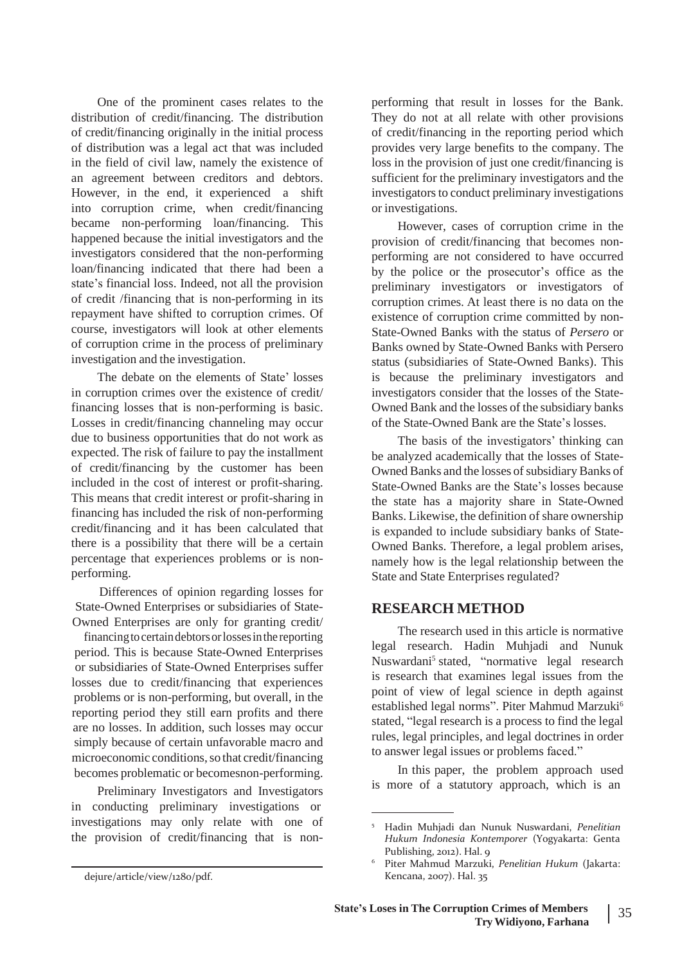One of the prominent cases relates to the distribution of credit/financing. The distribution of credit/financing originally in the initial process of distribution was a legal act that was included in the field of civil law, namely the existence of an agreement between creditors and debtors. However, in the end, it experienced a shift into corruption crime, when credit/financing became non-performing loan/financing. This happened because the initial investigators and the investigators considered that the non-performing loan/financing indicated that there had been a state's financial loss. Indeed, not all the provision of credit /financing that is non-performing in its repayment have shifted to corruption crimes. Of course, investigators will look at other elements of corruption crime in the process of preliminary investigation and the investigation.

The debate on the elements of State' losses in corruption crimes over the existence of credit/ financing losses that is non-performing is basic. Losses in credit/financing channeling may occur due to business opportunities that do not work as expected. The risk of failure to pay the installment of credit/financing by the customer has been included in the cost of interest or profit-sharing. This means that credit interest or profit-sharing in financing has included the risk of non-performing credit/financing and it has been calculated that there is a possibility that there will be a certain percentage that experiences problems or is nonperforming.

Differences of opinion regarding losses for State-Owned Enterprises or subsidiaries of State-Owned Enterprises are only for granting credit/

financing to certain debtors or losses in the reporting period. This is because State-Owned Enterprises or subsidiaries of State-Owned Enterprises suffer losses due to credit/financing that experiences problems or is non-performing, but overall, in the reporting period they still earn profits and there are no losses. In addition, such losses may occur simply because of certain unfavorable macro and microeconomic conditions, so that credit/financing becomes problematic or becomesnon-performing.

Preliminary Investigators and Investigators in conducting preliminary investigations or investigations may only relate with one of the provision of credit/financing that is nonperforming that result in losses for the Bank. They do not at all relate with other provisions of credit/financing in the reporting period which provides very large benefits to the company. The loss in the provision of just one credit/financing is sufficient for the preliminary investigators and the investigators to conduct preliminary investigations or investigations.

However, cases of corruption crime in the provision of credit/financing that becomes nonperforming are not considered to have occurred by the police or the prosecutor's office as the preliminary investigators or investigators of corruption crimes. At least there is no data on the existence of corruption crime committed by non-State-Owned Banks with the status of *Persero* or Banks owned by State-Owned Banks with Persero status (subsidiaries of State-Owned Banks). This is because the preliminary investigators and investigators consider that the losses of the State-Owned Bank and the losses of the subsidiary banks of the State-Owned Bank are the State's losses.

The basis of the investigators' thinking can be analyzed academically that the losses of State-Owned Banks and the losses of subsidiary Banks of State-Owned Banks are the State's losses because the state has a majority share in State-Owned Banks. Likewise, the definition of share ownership is expanded to include subsidiary banks of State-Owned Banks. Therefore, a legal problem arises, namely how is the legal relationship between the State and State Enterprises regulated?

#### **RESEARCH METHOD**

The research used in this article is normative legal research. Hadin Muhjadi and Nunuk Nuswardani<sup>5</sup> stated, "normative legal research is research that examines legal issues from the point of view of legal science in depth against established legal norms". Piter Mahmud Marzuki<sup>6</sup> stated, "legal research is a process to find the legal rules, legal principles, and legal doctrines in order to answer legal issues or problems faced."

In this paper, the problem approach used is more of a statutory approach, which is an

dejure/article/view/1280/pdf.

<sup>5</sup> Hadin Muhjadi dan Nunuk Nuswardani, *Penelitian Hukum Indonesia Kontemporer* (Yogyakarta: Genta Publishing, 2012). Hal. 9

Piter Mahmud Marzuki, *Penelitian Hukum* (Jakarta: Kencana, 2007). Hal. 35 6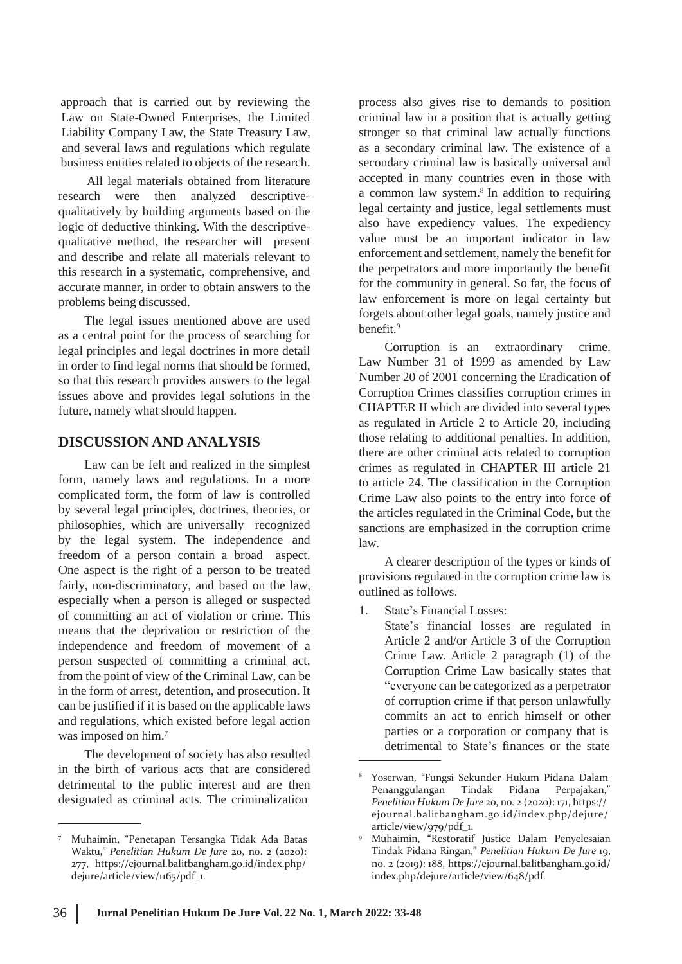approach that is carried out by reviewing the Law on State-Owned Enterprises, the Limited Liability Company Law, the State Treasury Law, and several laws and regulations which regulate business entities related to objects of the research.

All legal materials obtained from literature research were then analyzed descriptivequalitatively by building arguments based on the logic of deductive thinking. With the descriptivequalitative method, the researcher will present and describe and relate all materials relevant to this research in a systematic, comprehensive, and accurate manner, in order to obtain answers to the problems being discussed.

The legal issues mentioned above are used as a central point for the process of searching for legal principles and legal doctrines in more detail in order to find legal norms that should be formed, so that this research provides answers to the legal issues above and provides legal solutions in the future, namely what should happen.

#### **DISCUSSION AND ANALYSIS**

Law can be felt and realized in the simplest form, namely laws and regulations. In a more complicated form, the form of law is controlled by several legal principles, doctrines, theories, or philosophies, which are universally recognized by the legal system. The independence and freedom of a person contain a broad aspect. One aspect is the right of a person to be treated fairly, non-discriminatory, and based on the law, especially when a person is alleged or suspected of committing an act of violation or crime. This means that the deprivation or restriction of the independence and freedom of movement of a person suspected of committing a criminal act, from the point of view of the Criminal Law, can be in the form of arrest, detention, and prosecution. It can be justified if it is based on the applicable laws and regulations, which existed before legal action was imposed on him.<sup>7</sup>

The development of society has also resulted in the birth of various acts that are considered detrimental to the public interest and are then designated as criminal acts. The criminalization

process also gives rise to demands to position criminal law in a position that is actually getting stronger so that criminal law actually functions as a secondary criminal law. The existence of a secondary criminal law is basically universal and accepted in many countries even in those with a common law system.<sup>8</sup> In addition to requiring legal certainty and justice, legal settlements must also have expediency values. The expediency value must be an important indicator in law enforcement and settlement, namely the benefit for the perpetrators and more importantly the benefit for the community in general. So far, the focus of law enforcement is more on legal certainty but forgets about other legal goals, namely justice and benefit.<sup>9</sup>

Corruption is an extraordinary crime. Law Number 31 of 1999 as amended by Law Number 20 of 2001 concerning the Eradication of Corruption Crimes classifies corruption crimes in CHAPTER II which are divided into several types as regulated in Article 2 to Article 20, including those relating to additional penalties. In addition, there are other criminal acts related to corruption crimes as regulated in CHAPTER III article 21 to article 24. The classification in the Corruption Crime Law also points to the entry into force of the articles regulated in the Criminal Code, but the sanctions are emphasized in the corruption crime law.

A clearer description of the types or kinds of provisions regulated in the corruption crime law is outlined as follows.

1. State's Financial Losses:

State's financial losses are regulated in Article 2 and/or Article 3 of the Corruption Crime Law. Article 2 paragraph (1) of the Corruption Crime Law basically states that "everyone can be categorized as a perpetrator of corruption crime if that person unlawfully commits an act to enrich himself or other parties or a corporation or company that is detrimental to State's finances or the state

<sup>7</sup> Muhaimin, "Penetapan Tersangka Tidak Ada Batas Waktu," *Penelitian Hukum De Jure* 20, no. 2 (2020): 277, https://ejournal.balitbangham.go.id/index.php/ dejure/article/view/1165/pdf\_1.

<sup>8</sup> Yoserwan, "Fungsi Sekunder Hukum Pidana Dalam Penanggulangan Tindak Pidana Perpajakan," *Penelitian Hukum De Jure* 20, no. 2 (2020): 171, https:// ejournal.balitbangham.go.id/index.php/dejure/ article/view/979/pdf\_1.

Muhaimin, "Restoratif Justice Dalam Penyelesaian Tindak Pidana Ringan," *Penelitian Hukum De Jure* 19, no. 2 (2019): 188, https://ejournal.balitbangham.go.id/ index.php/dejure/article/view/648/pdf.  $\overline{9}$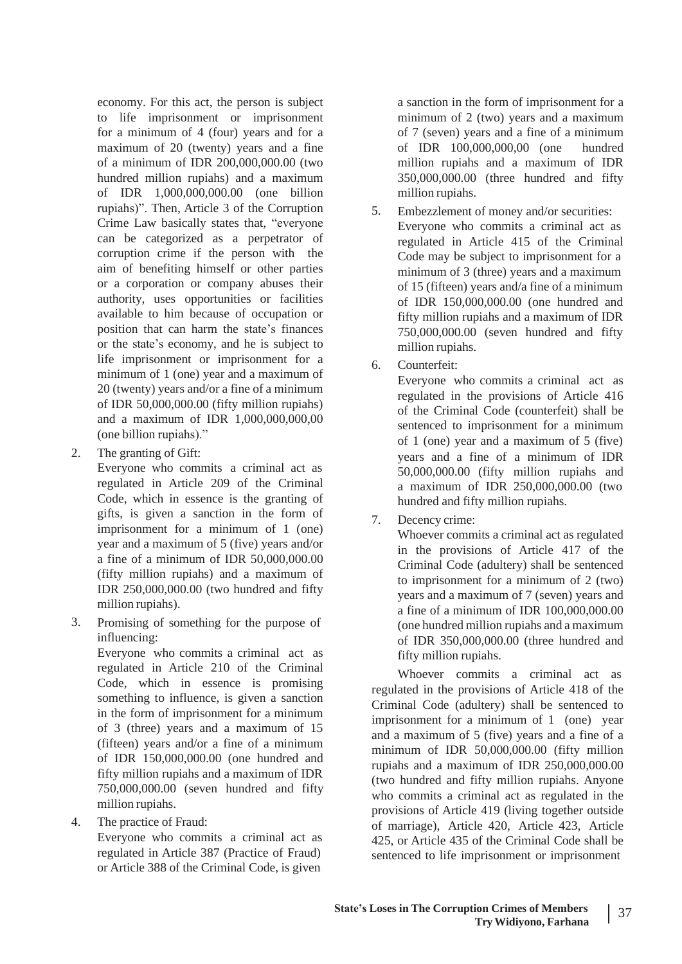economy. For this act, the person is subject to life imprisonment or imprisonment for a minimum of 4 (four) years and for a maximum of 20 (twenty) years and a fine of a minimum of IDR 200,000,000.00 (two hundred million rupiahs) and a maximum of IDR 1,000,000,000.00 (one billion rupiahs)". Then, Article 3 of the Corruption Crime Law basically states that, "everyone can be categorized as a perpetrator of corruption crime if the person with the aim of benefiting himself or other parties or a corporation or company abuses their authority, uses opportunities or facilities available to him because of occupation or position that can harm the state's finances or the state's economy, and he is subject to life imprisonment or imprisonment for a minimum of 1 (one) year and a maximum of 20 (twenty) years and/or a fine of a minimum of IDR 50,000,000.00 (fifty million rupiahs) and a maximum of IDR 1,000,000,000,00 (one billion rupiahs)."

The granting of Gift:

Everyone who commits a criminal act as regulated in Article 209 of the Criminal Code, which in essence is the granting of gifts, is given a sanction in the form of imprisonment for a minimum of 1 (one) year and a maximum of 5 (five) years and/or a fine of a minimum of IDR 50,000,000.00 (fifty million rupiahs) and a maximum of IDR 250,000,000.00 (two hundred and fifty million rupiahs).

Promising of something for the purpose of influencing: 3.

> Everyone who commits a criminal act as regulated in Article 210 of the Criminal Code, which in essence is promising something to influence, is given a sanction in the form of imprisonment for a minimum of 3 (three) years and a maximum of 15 (fifteen) years and/or a fine of a minimum of IDR 150,000,000.00 (one hundred and fifty million rupiahs and a maximum of IDR 750,000,000.00 (seven hundred and fifty million rupiahs.

The practice of Fraud: 4.

Everyone who commits a criminal act as regulated in Article 387 (Practice of Fraud) or Article 388 of the Criminal Code, is given

a sanction in the form of imprisonment for a minimum of 2 (two) years and a maximum of 7 (seven) years and a fine of a minimum of IDR 100,000,000,00 (one hundred million rupiahs and a maximum of IDR 350,000,000.00 (three hundred and fifty million rupiahs.

- Embezzlement of money and/or securities: Everyone who commits a criminal act as regulated in Article 415 of the Criminal Code may be subject to imprisonment for a minimum of 3 (three) years and a maximum of 15 (fifteen) years and/a fine of a minimum of IDR 150,000,000.00 (one hundred and fifty million rupiahs and a maximum of IDR 750,000,000.00 (seven hundred and fifty million rupiahs. 5.
- Counterfeit: 6.

Everyone who commits a criminal act as regulated in the provisions of Article 416 of the Criminal Code (counterfeit) shall be sentenced to imprisonment for a minimum of 1 (one) year and a maximum of 5 (five) 2. The granting of Gift: years and a fine of a minimum of IDR 50,000,000.00 (fifty million rupiahs and a maximum of IDR 250,000,000.00 (two hundred and fifty million rupiahs.

> Decency crime: 7.

Whoever commits a criminal act as regulated in the provisions of Article 417 of the Criminal Code (adultery) shall be sentenced to imprisonment for a minimum of 2 (two) years and a maximum of 7 (seven) years and a fine of a minimum of IDR 100,000,000.00 (one hundred million rupiahs and a maximum of IDR 350,000,000.00 (three hundred and fifty million rupiahs.

Whoever commits a criminal act as regulated in the provisions of Article 418 of the Criminal Code (adultery) shall be sentenced to imprisonment for a minimum of 1 (one) year and a maximum of 5 (five) years and a fine of a minimum of IDR 50,000,000.00 (fifty million rupiahs and a maximum of IDR 250,000,000.00 (two hundred and fifty million rupiahs. Anyone who commits a criminal act as regulated in the provisions of Article 419 (living together outside of marriage), Article 420, Article 423, Article 425, or Article 435 of the Criminal Code shall be sentenced to life imprisonment or imprisonment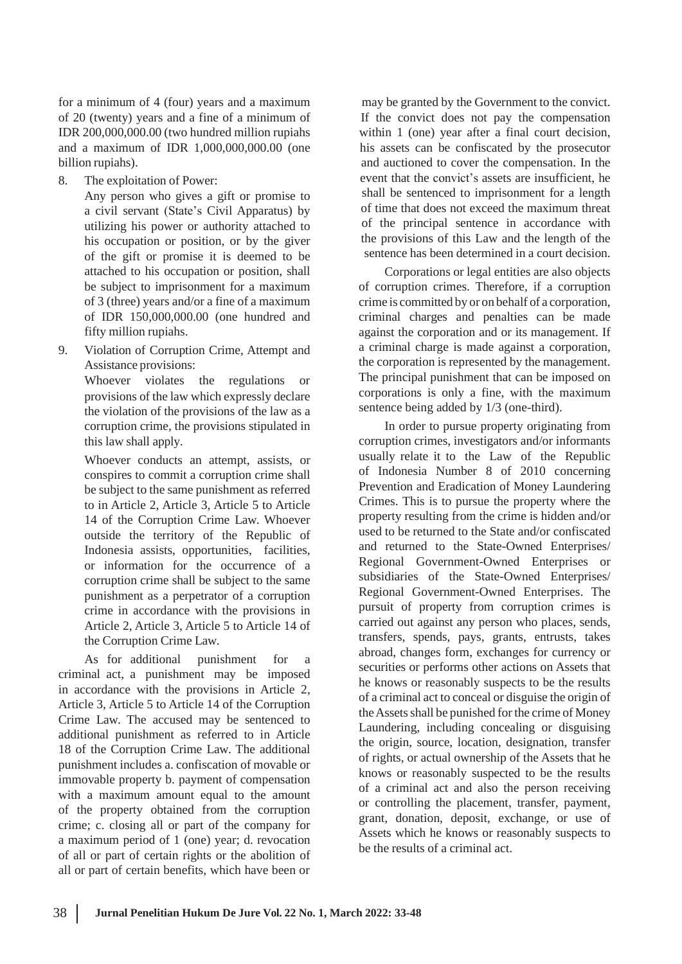for a minimum of 4 (four) years and a maximum of 20 (twenty) years and a fine of a minimum of IDR 200,000,000.00 (two hundred million rupiahs and a maximum of IDR 1,000,000,000.00 (one billion rupiahs).

8. The exploitation of Power:

Any person who gives a gift or promise to a civil servant (State's Civil Apparatus) by utilizing his power or authority attached to his occupation or position, or by the giver of the gift or promise it is deemed to be attached to his occupation or position, shall be subject to imprisonment for a maximum of 3 (three) years and/or a fine of a maximum of IDR 150,000,000.00 (one hundred and fifty million rupiahs.

Violation of Corruption Crime, Attempt and Assistance provisions: 9.

> Whoever violates the regulations or provisions of the law which expressly declare the violation of the provisions of the law as a corruption crime, the provisions stipulated in this law shall apply.

> Whoever conducts an attempt, assists, or conspires to commit a corruption crime shall be subject to the same punishment as referred to in Article 2, Article 3, Article 5 to Article 14 of the Corruption Crime Law. Whoever outside the territory of the Republic of Indonesia assists, opportunities, facilities, or information for the occurrence of a corruption crime shall be subject to the same punishment as a perpetrator of a corruption crime in accordance with the provisions in Article 2, Article 3, Article 5 to Article 14 of the Corruption Crime Law.

As for additional punishment for a criminal act, a punishment may be imposed in accordance with the provisions in Article 2, Article 3, Article 5 to Article 14 of the Corruption Crime Law. The accused may be sentenced to additional punishment as referred to in Article 18 of the Corruption Crime Law. The additional punishment includes a. confiscation of movable or immovable property b. payment of compensation with a maximum amount equal to the amount of the property obtained from the corruption crime; c. closing all or part of the company for a maximum period of 1 (one) year; d. revocation of all or part of certain rights or the abolition of all or part of certain benefits, which have been or

may be granted by the Government to the convict. If the convict does not pay the compensation within 1 (one) year after a final court decision, his assets can be confiscated by the prosecutor and auctioned to cover the compensation. In the event that the convict's assets are insufficient, he shall be sentenced to imprisonment for a length of time that does not exceed the maximum threat of the principal sentence in accordance with the provisions of this Law and the length of the sentence has been determined in a court decision.

Corporations or legal entities are also objects of corruption crimes. Therefore, if a corruption crime is committed by or on behalf of a corporation, criminal charges and penalties can be made against the corporation and or its management. If a criminal charge is made against a corporation, the corporation is represented by the management. The principal punishment that can be imposed on corporations is only a fine, with the maximum sentence being added by 1/3 (one-third).

In order to pursue property originating from corruption crimes, investigators and/or informants usually relate it to the Law of the Republic of Indonesia Number 8 of 2010 concerning Prevention and Eradication of Money Laundering Crimes. This is to pursue the property where the property resulting from the crime is hidden and/or used to be returned to the State and/or confiscated and returned to the State-Owned Enterprises/ Regional Government-Owned Enterprises or subsidiaries of the State-Owned Enterprises/ Regional Government-Owned Enterprises. The pursuit of property from corruption crimes is carried out against any person who places, sends, transfers, spends, pays, grants, entrusts, takes abroad, changes form, exchanges for currency or securities or performs other actions on Assets that he knows or reasonably suspects to be the results of a criminal act to conceal or disguise the origin of the Assets shall be punished for the crime of Money Laundering, including concealing or disguising the origin, source, location, designation, transfer of rights, or actual ownership of the Assets that he knows or reasonably suspected to be the results of a criminal act and also the person receiving or controlling the placement, transfer, payment, grant, donation, deposit, exchange, or use of Assets which he knows or reasonably suspects to be the results of a criminal act.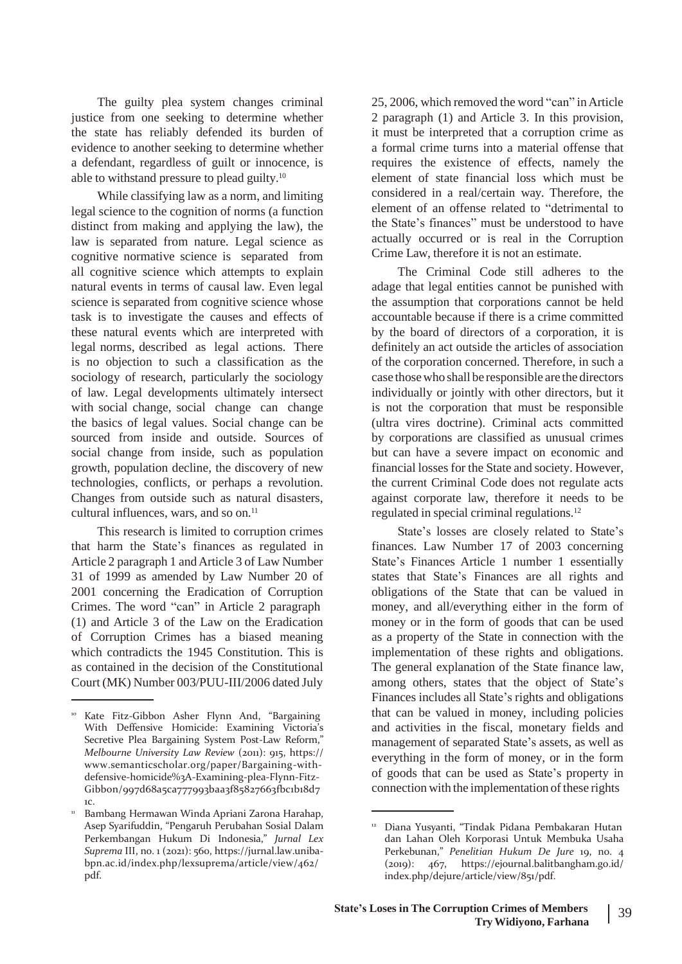The guilty plea system changes criminal justice from one seeking to determine whether the state has reliably defended its burden of evidence to another seeking to determine whether a defendant, regardless of guilt or innocence, is able to withstand pressure to plead guilty.<sup>10</sup>

While classifying law as a norm, and limiting legal science to the cognition of norms (a function distinct from making and applying the law), the law is separated from nature. Legal science as cognitive normative science is separated from all cognitive science which attempts to explain natural events in terms of causal law. Even legal science is separated from cognitive science whose task is to investigate the causes and effects of these natural events which are interpreted with legal norms, described as legal actions. There is no objection to such a classification as the sociology of research, particularly the sociology of law. Legal developments ultimately intersect with social change, social change can change the basics of legal values. Social change can be sourced from inside and outside. Sources of social change from inside, such as population growth, population decline, the discovery of new technologies, conflicts, or perhaps a revolution. Changes from outside such as natural disasters, cultural influences, wars, and so on.<sup>11</sup>

This research is limited to corruption crimes that harm the State's finances as regulated in Article 2 paragraph 1 andArticle 3 of Law Number 31 of 1999 as amended by Law Number 20 of 2001 concerning the Eradication of Corruption Crimes. The word "can" in Article 2 paragraph (1) and Article 3 of the Law on the Eradication of Corruption Crimes has a biased meaning which contradicts the 1945 Constitution. This is as contained in the decision of the Constitutional Court (MK) Number 003/PUU-III/2006 dated July

25, 2006, which removed the word "can" inArticle 2 paragraph (1) and Article 3. In this provision, it must be interpreted that a corruption crime as a formal crime turns into a material offense that requires the existence of effects, namely the element of state financial loss which must be considered in a real/certain way. Therefore, the element of an offense related to "detrimental to the State's finances" must be understood to have actually occurred or is real in the Corruption Crime Law, therefore it is not an estimate.

The Criminal Code still adheres to the adage that legal entities cannot be punished with the assumption that corporations cannot be held accountable because if there is a crime committed by the board of directors of a corporation, it is definitely an act outside the articles of association of the corporation concerned. Therefore, in such a case thosewho shall be responsible are the directors individually or jointly with other directors, but it is not the corporation that must be responsible (ultra vires doctrine). Criminal acts committed by corporations are classified as unusual crimes but can have a severe impact on economic and financial losses for the State and society. However, the current Criminal Code does not regulate acts against corporate law, therefore it needs to be regulated in special criminal regulations.<sup>12</sup>

State's losses are closely related to State's finances. Law Number 17 of 2003 concerning State's Finances Article 1 number 1 essentially states that State's Finances are all rights and obligations of the State that can be valued in money, and all/everything either in the form of money or in the form of goods that can be used as a property of the State in connection with the implementation of these rights and obligations. The general explanation of the State finance law, among others, states that the object of State's Finances includes all State's rights and obligations that can be valued in money, including policies and activities in the fiscal, monetary fields and management of separated State's assets, as well as everything in the form of money, or in the form of goods that can be used as State's property in connection with the implementation of these rights

Kate Fitz-Gibbon Asher Flynn And, "Bargaining With Deffensive Homicide: Examining Victoria's Secretive Plea Bargaining System Post-Law Reform," *Melbourne University Law Review* (2011): 915, https:/[/](http://www.semanticscholar.org/paper/Bargaining-with-) [www.semanticscholar.org/paper/Bargaining-with](http://www.semanticscholar.org/paper/Bargaining-with-)defensive-homicide%3A-Examining-plea-Flynn-Fitz-Gibbon/997d68a5ca777993baa3f85827663fbc1b18d7 1c.

<sup>&</sup>lt;u>'' Bambang Hermawan Winda Apriani Zarona Harahap,</u> Asep Syarifuddin, "Pengaruh Perubahan Sosial Dalam Perkembangan Hukum Di Indonesia," *Jurnal Lex Suprema* III, no. 1 (2021): 560, https://jurnal.law.unibabpn.ac.id/index.php/lexsuprema/article/view/462/ pdf.

<sup>12</sup> Diana Yusyanti, "Tindak Pidana Pembakaran Hutan dan Lahan Oleh Korporasi Untuk Membuka Usaha Perkebunan," *Penelitian Hukum De Jure* 19, no. 4 (2019): 467, https://ejournal.balitbangham.go.id/ index.php/dejure/article/view/851/pdf.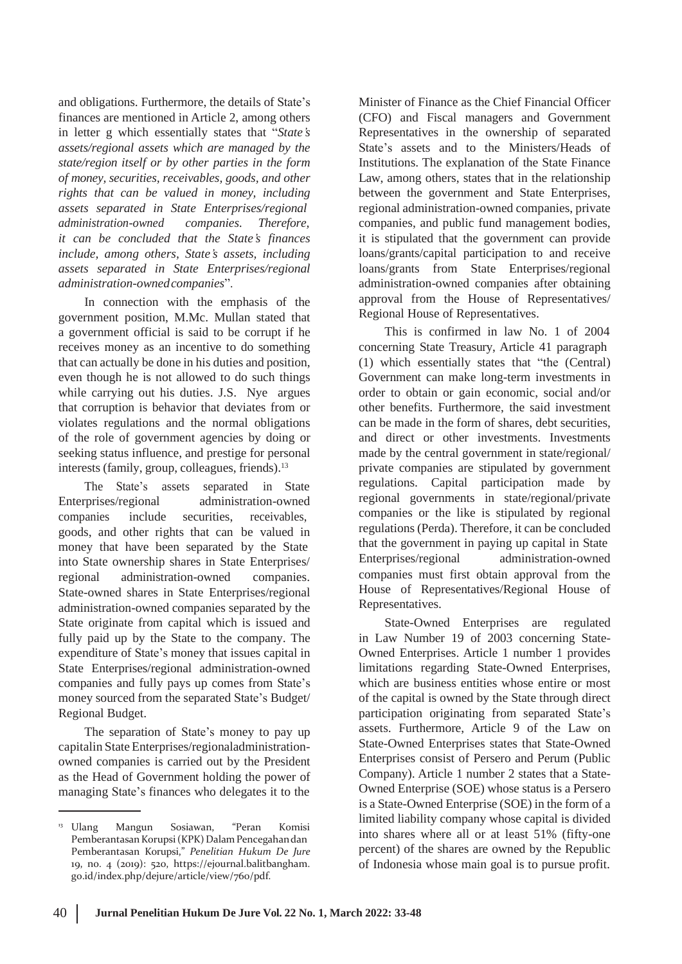and obligations. Furthermore, the details of State's finances are mentioned in Article 2, among others in letter g which essentially states that "*State's assets/regional assets which are managed by the state/region itself or by other parties in the form of money, securities, receivables, goods, and other rights that can be valued in money, including assets separated in State Enterprises/regional administration-owned companies. Therefore, it can be concluded that the State's finances include, among others, State's assets, including assets separated in State Enterprises/regional administration-ownedcompanies*".

In connection with the emphasis of the government position, M.Mc. Mullan stated that a government official is said to be corrupt if he receives money as an incentive to do something that can actually be done in his duties and position, even though he is not allowed to do such things while carrying out his duties. J.S. Nye argues that corruption is behavior that deviates from or violates regulations and the normal obligations of the role of government agencies by doing or seeking status influence, and prestige for personal interests (family, group, colleagues, friends).<sup>13</sup>

The State's assets separated in State Enterprises/regional companies include administration-owned securities, receivables, goods, and other rights that can be valued in money that have been separated by the State into State ownership shares in State Enterprises/<br>
Enterprises/regional administration-owned regional administration-owned companies. State-owned shares in State Enterprises/regional administration-owned companies separated by the State originate from capital which is issued and fully paid up by the State to the company. The expenditure of State's money that issues capital in State Enterprises/regional administration-owned companies and fully pays up comes from State's money sourced from the separated State's Budget/ Regional Budget.

The separation of State's money to pay up capitalin State Enterprises/regionaladministrationowned companies is carried out by the President as the Head of Government holding the power of managing State's finances who delegates it to the

Minister of Finance as the Chief Financial Officer (CFO) and Fiscal managers and Government Representatives in the ownership of separated State's assets and to the Ministers/Heads of Institutions. The explanation of the State Finance Law, among others, states that in the relationship between the government and State Enterprises, regional administration-owned companies, private companies, and public fund management bodies, it is stipulated that the government can provide loans/grants/capital participation to and receive loans/grants from State Enterprises/regional administration-owned companies after obtaining approval from the House of Representatives/ Regional House of Representatives.

This is confirmed in law No. 1 of 2004 concerning State Treasury, Article 41 paragraph (1) which essentially states that "the (Central) Government can make long-term investments in order to obtain or gain economic, social and/or other benefits. Furthermore, the said investment can be made in the form of shares, debt securities, and direct or other investments. Investments made by the central government in state/regional/ private companies are stipulated by government regulations. Capital participation made by regional governments in state/regional/private companies or the like is stipulated by regional regulations (Perda). Therefore, it can be concluded that the government in paying up capital in State companies must first obtain approval from the House of Representatives/Regional House of Representatives.

State-Owned Enterprises are regulated in Law Number 19 of 2003 concerning State-Owned Enterprises. Article 1 number 1 provides limitations regarding State-Owned Enterprises, which are business entities whose entire or most of the capital is owned by the State through direct participation originating from separated State's assets. Furthermore, Article 9 of the Law on State-Owned Enterprises states that State-Owned Enterprises consist of Persero and Perum (Public Company). Article 1 number 2 states that a State-Owned Enterprise (SOE) whose status is a Persero is a State-Owned Enterprise (SOE) in the form of a limited liability company whose capital is divided into shares where all or at least 51% (fifty-one percent) of the shares are owned by the Republic of Indonesia whose main goal is to pursue profit.

<sup>&</sup>lt;sup>13</sup> Ulang Mangun Sosiawan, "Peran Komisi Pemberantasan Korupsi (KPK) Dalam Pencegahan dan Pemberantasan Korupsi," *Penelitian Hukum De Jure* 19, no. 4 (2019): 520, https://ejournal.balitbangham. go.id/index.php/dejure/article/view/760/pdf.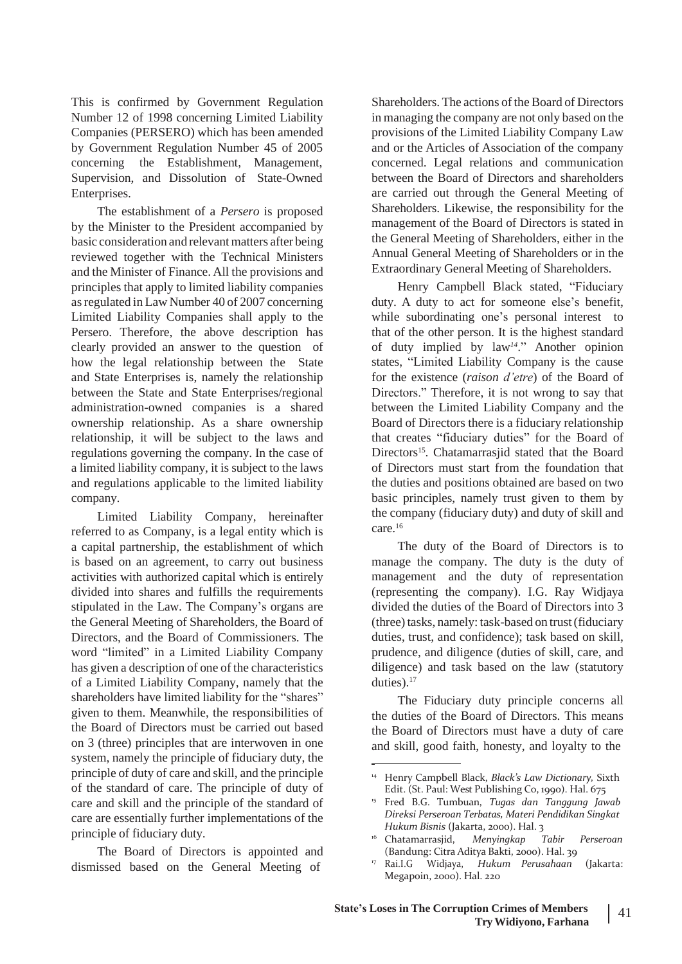This is confirmed by Government Regulation Number 12 of 1998 concerning Limited Liability Companies (PERSERO) which has been amended by Government Regulation Number 45 of 2005 concerning the Establishment, Management, Supervision, and Dissolution of State-Owned Enterprises.

The establishment of a *Persero* is proposed by the Minister to the President accompanied by basic consideration and relevant matters after being reviewed together with the Technical Ministers and the Minister of Finance. All the provisions and principles that apply to limited liability companies asregulated in Law Number 40 of 2007 concerning Limited Liability Companies shall apply to the Persero. Therefore, the above description has clearly provided an answer to the question of how the legal relationship between the State and State Enterprises is, namely the relationship between the State and State Enterprises/regional administration-owned companies is a shared ownership relationship. As a share ownership relationship, it will be subject to the laws and regulations governing the company. In the case of a limited liability company, it is subject to the laws and regulations applicable to the limited liability company.

Limited Liability Company, hereinafter referred to as Company, is a legal entity which is a capital partnership, the establishment of which is based on an agreement, to carry out business activities with authorized capital which is entirely divided into shares and fulfills the requirements stipulated in the Law. The Company's organs are the General Meeting of Shareholders, the Board of Directors, and the Board of Commissioners. The word "limited" in a Limited Liability Company has given a description of one of the characteristics of a Limited Liability Company, namely that the shareholders have limited liability for the "shares" given to them. Meanwhile, the responsibilities of the Board of Directors must be carried out based on 3 (three) principles that are interwoven in one system, namely the principle of fiduciary duty, the principle of duty of care and skill, and the principle of the standard of care. The principle of duty of care and skill and the principle of the standard of care are essentially further implementations of the principle of fiduciary duty.

The Board of Directors is appointed and dismissed based on the General Meeting of

Shareholders. The actions of the Board of Directors in managing the company are not only based on the provisions of the Limited Liability Company Law and or the Articles of Association of the company concerned. Legal relations and communication between the Board of Directors and shareholders are carried out through the General Meeting of Shareholders. Likewise, the responsibility for the management of the Board of Directors is stated in the General Meeting of Shareholders, either in the Annual General Meeting of Shareholders or in the Extraordinary General Meeting of Shareholders.

Henry Campbell Black stated, "Fiduciary duty. A duty to act for someone else's benefit, while subordinating one's personal interest to that of the other person. It is the highest standard of duty implied by law*14*." Another opinion states, "Limited Liability Company is the cause for the existence (*raison d'etre*) of the Board of Directors." Therefore, it is not wrong to say that between the Limited Liability Company and the Board of Directors there is a fiduciary relationship that creates "fiduciary duties" for the Board of Directors<sup>15</sup>. Chatamarrasjid stated that the Board of Directors must start from the foundation that the duties and positions obtained are based on two basic principles, namely trust given to them by the company (fiduciary duty) and duty of skill and care.<sup>16</sup>

The duty of the Board of Directors is to manage the company. The duty is the duty of management and the duty of representation (representing the company). I.G. Ray Widjaya divided the duties of the Board of Directors into 3 (three) tasks, namely: task-based on trust (fiduciary duties, trust, and confidence); task based on skill, prudence, and diligence (duties of skill, care, and diligence) and task based on the law (statutory duties).<sup>17</sup>

The Fiduciary duty principle concerns all the duties of the Board of Directors. This means the Board of Directors must have a duty of care and skill, good faith, honesty, and loyalty to the

<sup>14</sup> Henry Campbell Black, *Black's Law Dictionary,* Sixth Edit. (St. Paul: West Publishing Co, 1990). Hal. 675

Fred B.G. Tumbuan, *Tugas dan Tanggung Jawab* 15 *Direksi Perseroan Terbatas, Materi Pendidikan Singkat Hukum Bisnis* (Jakarta, 2000). Hal. 3

<sup>16</sup> Chatamarrasjid, *Menyingkap Tabir Perseroan* (Bandung: Citra Aditya Bakti, 2000). Hal. 39

Rai.I.G Widjaya, *Hukum Perusahaan* (Jakarta: Megapoin, 2000). Hal. 220 17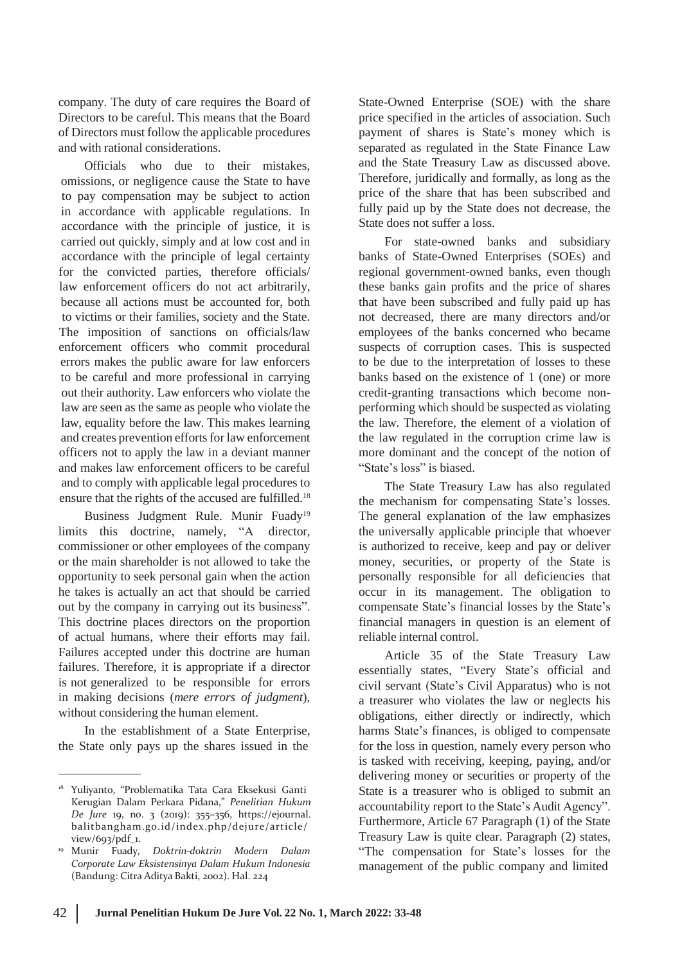company. The duty of care requires the Board of Directors to be careful. This means that the Board of Directors must follow the applicable procedures and with rational considerations.

Officials who due to their mistakes, omissions, or negligence cause the State to have to pay compensation may be subject to action in accordance with applicable regulations. In accordance with the principle of justice, it is carried out quickly, simply and at low cost and in accordance with the principle of legal certainty for the convicted parties, therefore officials/ law enforcement officers do not act arbitrarily, because all actions must be accounted for, both to victims or their families, society and the State. The imposition of sanctions on officials/law enforcement officers who commit procedural errors makes the public aware for law enforcers to be careful and more professional in carrying out their authority. Law enforcers who violate the law are seen as the same as people who violate the law, equality before the law. This makes learning and creates prevention efforts for law enforcement officers not to apply the law in a deviant manner and makes law enforcement officers to be careful and to comply with applicable legal procedures to ensure that the rights of the accused are fulfilled.<sup>18</sup>

Business Judgment Rule. Munir Fuady<sup>19</sup> limits this doctrine, namely, "A director, commissioner or other employees of the company or the main shareholder is not allowed to take the opportunity to seek personal gain when the action he takes is actually an act that should be carried out by the company in carrying out its business". This doctrine places directors on the proportion of actual humans, where their efforts may fail. Failures accepted under this doctrine are human failures. Therefore, it is appropriate if a director is not generalized to be responsible for errors in making decisions (*mere errors of judgment*), without considering the human element.

In the establishment of a State Enterprise, the State only pays up the shares issued in the

State-Owned Enterprise (SOE) with the share price specified in the articles of association. Such payment of shares is State's money which is separated as regulated in the State Finance Law and the State Treasury Law as discussed above. Therefore, juridically and formally, as long as the price of the share that has been subscribed and fully paid up by the State does not decrease, the State does not suffer a loss.

For state-owned banks and subsidiary banks of State-Owned Enterprises (SOEs) and regional government-owned banks, even though these banks gain profits and the price of shares that have been subscribed and fully paid up has not decreased, there are many directors and/or employees of the banks concerned who became suspects of corruption cases. This is suspected to be due to the interpretation of losses to these banks based on the existence of 1 (one) or more credit-granting transactions which become nonperforming which should be suspected as violating the law. Therefore, the element of a violation of the law regulated in the corruption crime law is more dominant and the concept of the notion of "State's loss" is biased.

The State Treasury Law has also regulated the mechanism for compensating State's losses. The general explanation of the law emphasizes the universally applicable principle that whoever is authorized to receive, keep and pay or deliver money, securities, or property of the State is personally responsible for all deficiencies that occur in its management. The obligation to compensate State's financial losses by the State's financial managers in question is an element of reliable internal control.

Article 35 of the State Treasury Law essentially states, "Every State's official and civil servant (State's Civil Apparatus) who is not a treasurer who violates the law or neglects his obligations, either directly or indirectly, which harms State's finances, is obliged to compensate for the loss in question, namely every person who is tasked with receiving, keeping, paying, and/or delivering money or securities or property of the State is a treasurer who is obliged to submit an accountability report to the State's Audit Agency". Furthermore, Article 67 Paragraph (1) of the State Treasury Law is quite clear. Paragraph (2) states, "The compensation for State's losses for the management of the public company and limited

<sup>&</sup>lt;sup>18</sup> Yuliyanto, "Problematika Tata Cara Eksekusi Ganti Kerugian Dalam Perkara Pidana," *Penelitian Hukum De Jure* 19, no. 3 (2019): 355–356, https://ejournal. balitbangham.go.id/index.php/dejure/article/ view/693/pdf\_1.

Munir Fuady, *Doktrin-doktrin Modern Dalam Corporate Law Eksistensinya Dalam Hukum Indonesia* (Bandung: Citra Aditya Bakti, 2002). Hal. 224 19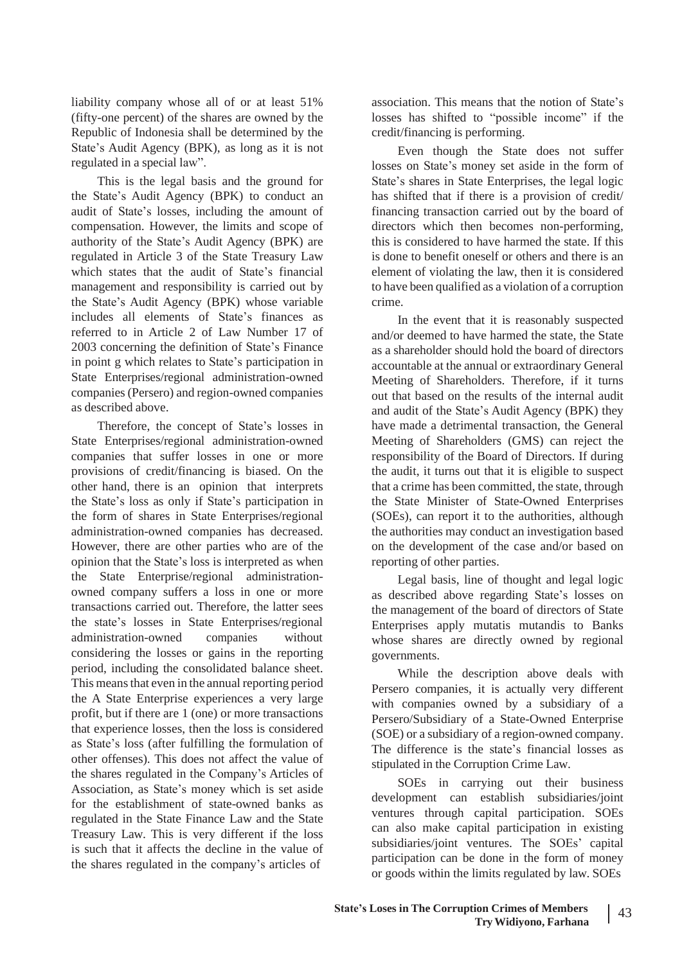liability company whose all of or at least 51% (fifty-one percent) of the shares are owned by the Republic of Indonesia shall be determined by the State's Audit Agency (BPK), as long as it is not regulated in a special law".

This is the legal basis and the ground for the State's Audit Agency (BPK) to conduct an audit of State's losses, including the amount of compensation. However, the limits and scope of authority of the State's Audit Agency (BPK) are regulated in Article 3 of the State Treasury Law which states that the audit of State's financial management and responsibility is carried out by the State's Audit Agency (BPK) whose variable includes all elements of State's finances as referred to in Article 2 of Law Number 17 of 2003 concerning the definition of State's Finance in point g which relates to State's participation in State Enterprises/regional administration-owned companies(Persero) and region-owned companies as described above.

Therefore, the concept of State's losses in State Enterprises/regional administration-owned companies that suffer losses in one or more provisions of credit/financing is biased. On the other hand, there is an opinion that interprets the State's loss as only if State's participation in the form of shares in State Enterprises/regional administration-owned companies has decreased. However, there are other parties who are of the opinion that the State's loss is interpreted as when the State Enterprise/regional administrationowned company suffers a loss in one or more transactions carried out. Therefore, the latter sees the state's losses in State Enterprises/regional administration-owned companies without considering the losses or gains in the reporting period, including the consolidated balance sheet. This meansthat even in the annual reporting period the A State Enterprise experiences a very large profit, but if there are 1 (one) or more transactions that experience losses, then the loss is considered as State's loss (after fulfilling the formulation of other offenses). This does not affect the value of the shares regulated in the Company's Articles of Association, as State's money which is set aside for the establishment of state-owned banks as regulated in the State Finance Law and the State Treasury Law. This is very different if the loss is such that it affects the decline in the value of the shares regulated in the company's articles of

association. This means that the notion of State's losses has shifted to "possible income" if the credit/financing is performing.

Even though the State does not suffer losses on State's money set aside in the form of State's shares in State Enterprises, the legal logic has shifted that if there is a provision of credit/ financing transaction carried out by the board of directors which then becomes non-performing, this is considered to have harmed the state. If this is done to benefit oneself or others and there is an element of violating the law, then it is considered to have been qualified as a violation of a corruption crime.

In the event that it is reasonably suspected and/or deemed to have harmed the state, the State as a shareholder should hold the board of directors accountable at the annual or extraordinary General Meeting of Shareholders. Therefore, if it turns out that based on the results of the internal audit and audit of the State's Audit Agency (BPK) they have made a detrimental transaction, the General Meeting of Shareholders (GMS) can reject the responsibility of the Board of Directors. If during the audit, it turns out that it is eligible to suspect that a crime has been committed, the state, through the State Minister of State-Owned Enterprises (SOEs), can report it to the authorities, although the authorities may conduct an investigation based on the development of the case and/or based on reporting of other parties.

Legal basis, line of thought and legal logic as described above regarding State's losses on the management of the board of directors of State Enterprises apply mutatis mutandis to Banks whose shares are directly owned by regional governments.

While the description above deals with Persero companies, it is actually very different with companies owned by a subsidiary of a Persero/Subsidiary of a State-Owned Enterprise (SOE) or a subsidiary of a region-owned company. The difference is the state's financial losses as stipulated in the Corruption Crime Law.

SOEs in carrying out their business development can establish subsidiaries/joint ventures through capital participation. SOEs can also make capital participation in existing subsidiaries/joint ventures. The SOEs' capital participation can be done in the form of money or goods within the limits regulated by law. SOEs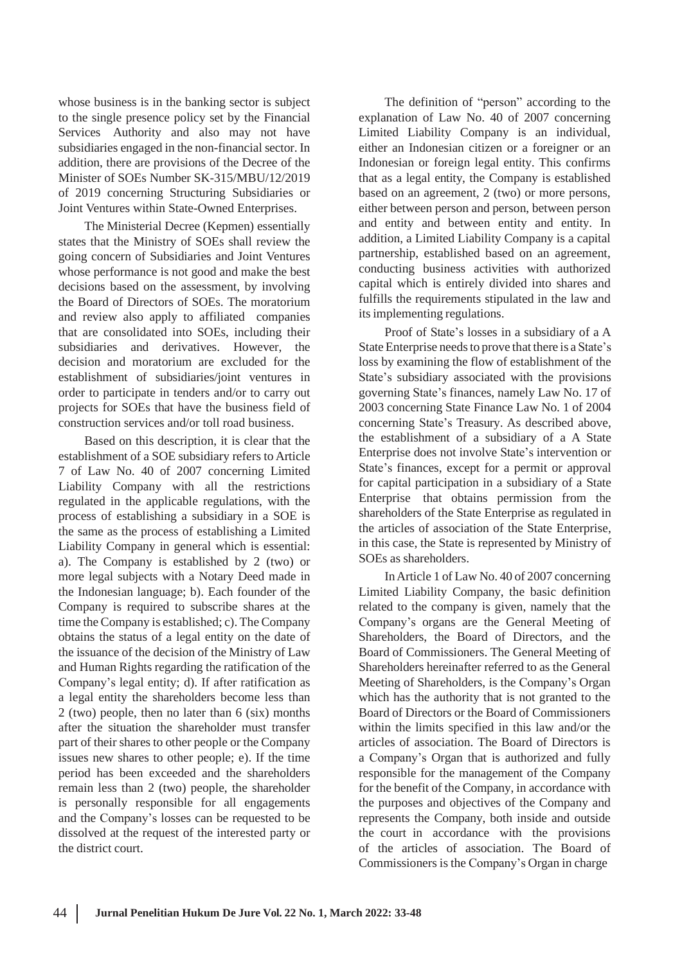whose business is in the banking sector is subject to the single presence policy set by the Financial Services Authority and also may not have subsidiaries engaged in the non-financial sector. In addition, there are provisions of the Decree of the Minister of SOEs Number SK-315/MBU/12/2019 of 2019 concerning Structuring Subsidiaries or Joint Ventures within State-Owned Enterprises.

The Ministerial Decree (Kepmen) essentially states that the Ministry of SOEs shall review the going concern of Subsidiaries and Joint Ventures whose performance is not good and make the best decisions based on the assessment, by involving the Board of Directors of SOEs. The moratorium and review also apply to affiliated companies that are consolidated into SOEs, including their subsidiaries and derivatives. However, the decision and moratorium are excluded for the establishment of subsidiaries/joint ventures in order to participate in tenders and/or to carry out projects for SOEs that have the business field of construction services and/or toll road business.

Based on this description, it is clear that the establishment of a SOE subsidiary refers to Article 7 of Law No. 40 of 2007 concerning Limited Liability Company with all the restrictions regulated in the applicable regulations, with the process of establishing a subsidiary in a SOE is the same as the process of establishing a Limited Liability Company in general which is essential: a). The Company is established by 2 (two) or more legal subjects with a Notary Deed made in the Indonesian language; b). Each founder of the Company is required to subscribe shares at the time the Company is established; c). The Company obtains the status of a legal entity on the date of the issuance of the decision of the Ministry of Law and Human Rights regarding the ratification of the Company's legal entity; d). If after ratification as a legal entity the shareholders become less than 2 (two) people, then no later than 6 (six) months after the situation the shareholder must transfer part of their shares to other people or the Company issues new shares to other people; e). If the time period has been exceeded and the shareholders remain less than 2 (two) people, the shareholder is personally responsible for all engagements and the Company's losses can be requested to be dissolved at the request of the interested party or the district court.

The definition of "person" according to the explanation of Law No. 40 of 2007 concerning Limited Liability Company is an individual, either an Indonesian citizen or a foreigner or an Indonesian or foreign legal entity. This confirms that as a legal entity, the Company is established based on an agreement, 2 (two) or more persons, either between person and person, between person and entity and between entity and entity. In addition, a Limited Liability Company is a capital partnership, established based on an agreement, conducting business activities with authorized capital which is entirely divided into shares and fulfills the requirements stipulated in the law and its implementing regulations.

Proof of State's losses in a subsidiary of a A State Enterprise needs to prove that there is a State's loss by examining the flow of establishment of the State's subsidiary associated with the provisions governing State's finances, namely Law No. 17 of 2003 concerning State Finance Law No. 1 of 2004 concerning State's Treasury. As described above, the establishment of a subsidiary of a A State Enterprise does not involve State's intervention or State's finances, except for a permit or approval for capital participation in a subsidiary of a State Enterprise that obtains permission from the shareholders of the State Enterprise as regulated in the articles of association of the State Enterprise, in this case, the State is represented by Ministry of SOEs as shareholders.

InArticle 1 of Law No. 40 of 2007 concerning Limited Liability Company, the basic definition related to the company is given, namely that the Company's organs are the General Meeting of Shareholders, the Board of Directors, and the Board of Commissioners. The General Meeting of Shareholders hereinafter referred to as the General Meeting of Shareholders, is the Company's Organ which has the authority that is not granted to the Board of Directors or the Board of Commissioners within the limits specified in this law and/or the articles of association. The Board of Directors is a Company's Organ that is authorized and fully responsible for the management of the Company for the benefit of the Company, in accordance with the purposes and objectives of the Company and represents the Company, both inside and outside the court in accordance with the provisions of the articles of association. The Board of Commissioners is the Company's Organ in charge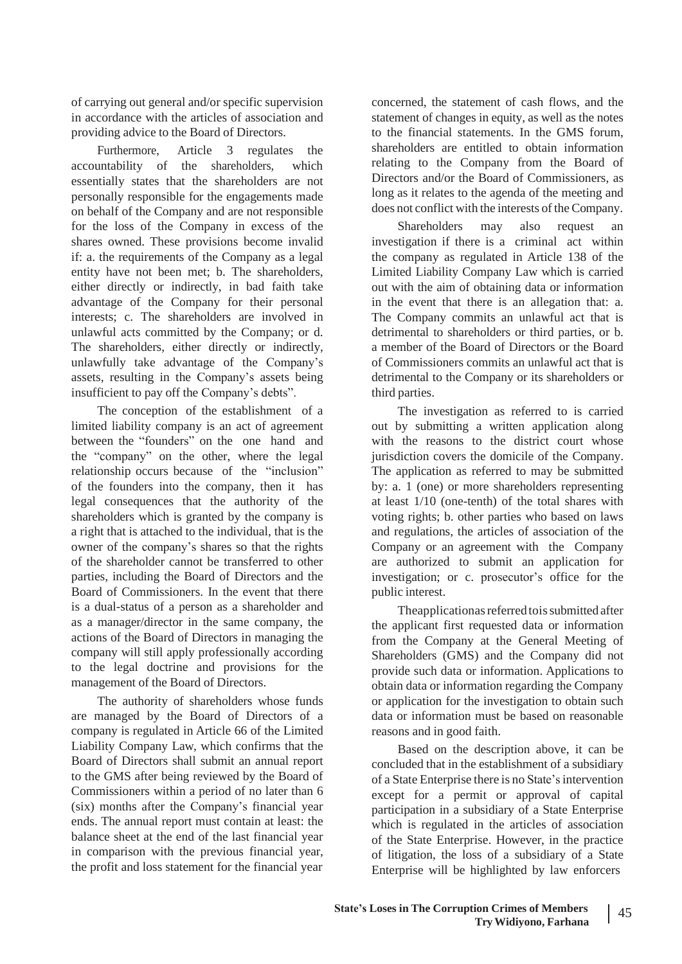of carrying out general and/or specific supervision in accordance with the articles of association and providing advice to the Board of Directors.

Furthermore, Article 3 regulates the accountability of the shareholders, which essentially states that the shareholders are not personally responsible for the engagements made on behalf of the Company and are not responsible for the loss of the Company in excess of the shares owned. These provisions become invalid if: a. the requirements of the Company as a legal entity have not been met; b. The shareholders, either directly or indirectly, in bad faith take advantage of the Company for their personal interests; c. The shareholders are involved in unlawful acts committed by the Company; or d. The shareholders, either directly or indirectly, unlawfully take advantage of the Company's assets, resulting in the Company's assets being insufficient to pay off the Company's debts".

The conception of the establishment of a limited liability company is an act of agreement between the "founders" on the one hand and the "company" on the other, where the legal relationship occurs because of the "inclusion" of the founders into the company, then it has legal consequences that the authority of the shareholders which is granted by the company is a right that is attached to the individual, that is the owner of the company's shares so that the rights of the shareholder cannot be transferred to other parties, including the Board of Directors and the Board of Commissioners. In the event that there is a dual-status of a person as a shareholder and as a manager/director in the same company, the actions of the Board of Directors in managing the company will still apply professionally according to the legal doctrine and provisions for the management of the Board of Directors.

The authority of shareholders whose funds are managed by the Board of Directors of a company is regulated in Article 66 of the Limited Liability Company Law, which confirms that the Board of Directors shall submit an annual report to the GMS after being reviewed by the Board of Commissioners within a period of no later than 6 (six) months after the Company's financial year ends. The annual report must contain at least: the balance sheet at the end of the last financial year in comparison with the previous financial year, the profit and loss statement for the financial year

concerned, the statement of cash flows, and the statement of changes in equity, as well as the notes to the financial statements. In the GMS forum, shareholders are entitled to obtain information relating to the Company from the Board of Directors and/or the Board of Commissioners, as long as it relates to the agenda of the meeting and does not conflict with the interests of the Company.

Shareholders may also request an investigation if there is a criminal act within the company as regulated in Article 138 of the Limited Liability Company Law which is carried out with the aim of obtaining data or information in the event that there is an allegation that: a. The Company commits an unlawful act that is detrimental to shareholders or third parties, or b. a member of the Board of Directors or the Board of Commissioners commits an unlawful act that is detrimental to the Company or its shareholders or third parties.

The investigation as referred to is carried out by submitting a written application along with the reasons to the district court whose jurisdiction covers the domicile of the Company. The application as referred to may be submitted by: a. 1 (one) or more shareholders representing at least 1/10 (one-tenth) of the total shares with voting rights; b. other parties who based on laws and regulations, the articles of association of the Company or an agreement with the Company are authorized to submit an application for investigation; or c. prosecutor's office for the public interest.

Theapplicationas referred to is submitted after the applicant first requested data or information from the Company at the General Meeting of Shareholders (GMS) and the Company did not provide such data or information. Applications to obtain data or information regarding the Company or application for the investigation to obtain such data or information must be based on reasonable reasons and in good faith.

Based on the description above, it can be concluded that in the establishment of a subsidiary of a State Enterprise there is no State'sintervention except for a permit or approval of capital participation in a subsidiary of a State Enterprise which is regulated in the articles of association of the State Enterprise. However, in the practice of litigation, the loss of a subsidiary of a State Enterprise will be highlighted by law enforcers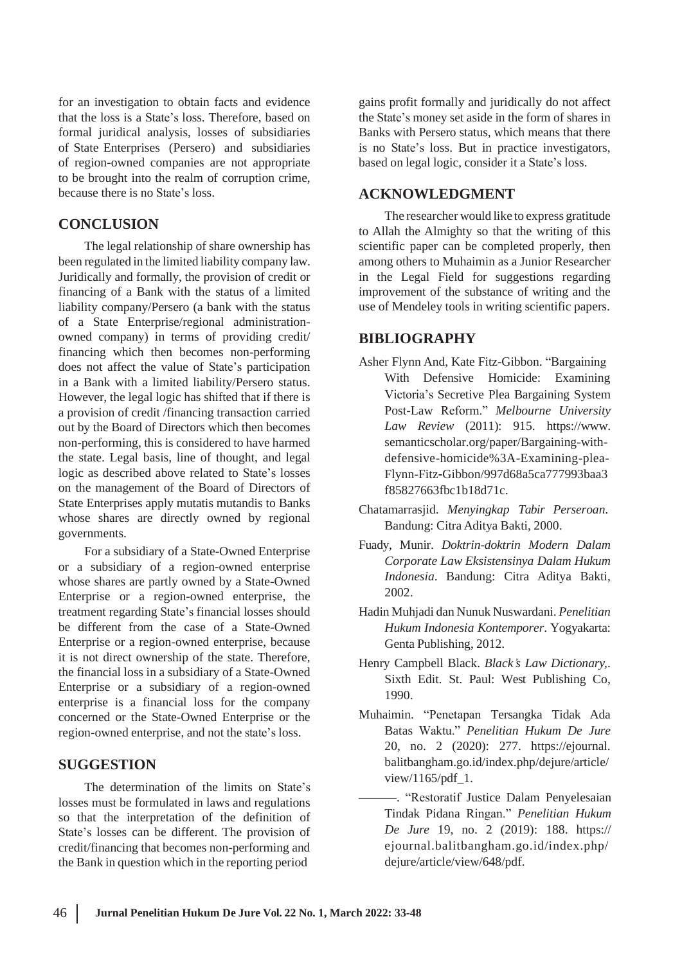for an investigation to obtain facts and evidence that the loss is a State's loss. Therefore, based on formal juridical analysis, losses of subsidiaries of State Enterprises (Persero) and subsidiaries of region-owned companies are not appropriate to be brought into the realm of corruption crime, because there is no State's loss.

### **CONCLUSION**

The legal relationship of share ownership has been regulated in the limited liability company law. Juridically and formally, the provision of credit or financing of a Bank with the status of a limited liability company/Persero (a bank with the status of a State Enterprise/regional administrationowned company) in terms of providing credit/ financing which then becomes non-performing does not affect the value of State's participation in a Bank with a limited liability/Persero status. However, the legal logic has shifted that if there is a provision of credit /financing transaction carried out by the Board of Directors which then becomes non-performing, this is considered to have harmed the state. Legal basis, line of thought, and legal logic as described above related to State's losses on the management of the Board of Directors of State Enterprises apply mutatis mutandis to Banks whose shares are directly owned by regional governments.

For a subsidiary of a State-Owned Enterprise or a subsidiary of a region-owned enterprise whose shares are partly owned by a State-Owned Enterprise or a region-owned enterprise, the treatment regarding State's financial losses should be different from the case of a State-Owned Enterprise or a region-owned enterprise, because it is not direct ownership of the state. Therefore, the financial loss in a subsidiary of a State-Owned Enterprise or a subsidiary of a region-owned enterprise is a financial loss for the company concerned or the State-Owned Enterprise or the region-owned enterprise, and not the state's loss.

#### **SUGGESTION**

The determination of the limits on State's losses must be formulated in laws and regulations so that the interpretation of the definition of State's losses can be different. The provision of credit/financing that becomes non-performing and the Bank in question which in the reporting period

gains profit formally and juridically do not affect the State's money set aside in the form of shares in Banks with Persero status, which means that there is no State's loss. But in practice investigators, based on legal logic, consider it a State's loss.

#### **ACKNOWLEDGMENT**

The researcher would like to express gratitude to Allah the Almighty so that the writing of this scientific paper can be completed properly, then among others to Muhaimin as a Junior Researcher in the Legal Field for suggestions regarding improvement of the substance of writing and the use of Mendeley tools in writing scientific papers.

## **BIBLIOGRAPHY**

- Asher Flynn And, Kate Fitz-Gibbon. "Bargaining With Defensive Homicide: Examining Victoria's Secretive Plea Bargaining System Post-Law Reform." *Melbourne University Law Review* (2011): 915. [https://www.](http://www/) semanticscholar.org/paper/Bargaining-withdefensive-homicide%3A-Examining-plea-Flynn-Fitz‐Gibbon/997d68a5ca777993baa3 f85827663fbc1b18d71c.
- Chatamarrasjid. *Menyingkap Tabir Perseroan*. Bandung: Citra Aditya Bakti, 2000.
- Fuady, Munir. *Doktrin-doktrin Modern Dalam Corporate Law Eksistensinya Dalam Hukum Indonesia*. Bandung: Citra Aditya Bakti, 2002.
- Hadin Muhjadi dan Nunuk Nuswardani. *Penelitian Hukum Indonesia Kontemporer*. Yogyakarta: Genta Publishing, 2012.
- Henry Campbell Black. *Black's Law Dictionary,*. Sixth Edit. St. Paul: West Publishing Co, 1990.
- Muhaimin. "Penetapan Tersangka Tidak Ada Batas Waktu." *Penelitian Hukum De Jure* 20, no. 2 (2020): 277. https://ejournal. balitbangham.go.id/index.php/dejure/article/ view/1165/pdf\_1.
- ———. "Restoratif Justice Dalam Penyelesaian Tindak Pidana Ringan." *Penelitian Hukum De Jure* 19, no. 2 (2019): 188. https:// ejournal.balitbangham.go.id/index.php/ dejure/article/view/648/pdf.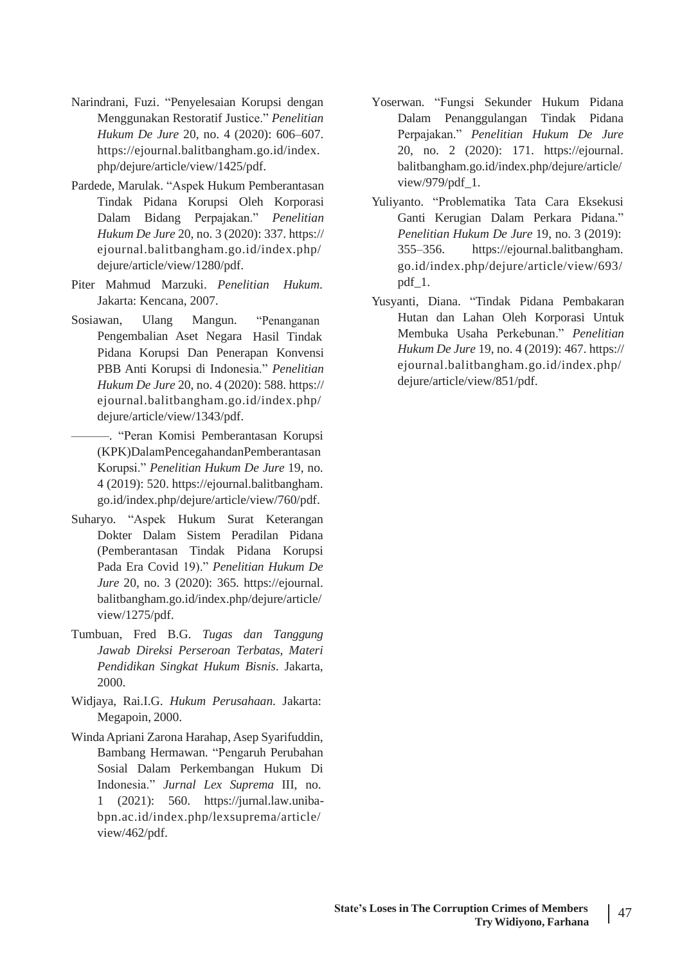- Narindrani, Fuzi. "Penyelesaian Korupsi dengan Menggunakan Restoratif Justice." *Penelitian Hukum De Jure* 20, no. 4 (2020): 606–607. https://ejournal.balitbangham.go.id/index. php/dejure/article/view/1425/pdf.
- Pardede, Marulak. "Aspek Hukum Pemberantasan Tindak Pidana Korupsi Oleh Korporasi Dalam Bidang Perpajakan." *Penelitian Hukum De Jure* 20, no. 3 (2020): 337. https:// ejournal.balitbangham.go.id/index.php/ dejure/article/view/1280/pdf.
- Piter Mahmud Marzuki. *Penelitian* Jakarta: Kencana, 2007. *Hukum*.
- Sosiawan, Ulang Mangun. "Penanganan Pengembalian Aset Negara Hasil Tindak Pidana Korupsi Dan Penerapan Konvensi PBB Anti Korupsi di Indonesia." *Penelitian Hukum De Jure* 20, no. 4 (2020): 588. https:// ejournal.balitbangham.go.id/index.php/ dejure/article/view/1343/pdf.

———. "Peran Komisi Pemberantasan Korupsi (KPK)DalamPencegahandanPemberantasan Korupsi." *Penelitian Hukum De Jure* 19, no. 4 (2019): 520. https://ejournal.balitbangham. go.id/index.php/dejure/article/view/760/pdf.

- Suharyo. "Aspek Hukum Surat Keterangan Dokter Dalam Sistem Peradilan Pidana (Pemberantasan Tindak Pidana Korupsi Pada Era Covid 19)." *Penelitian Hukum De Jure* 20, no. 3 (2020): 365. https://ejournal. balitbangham.go.id/index.php/dejure/article/ view/1275/pdf.
- Tumbuan, Fred B.G. *Tugas dan Tanggung Jawab Direksi Perseroan Terbatas, Materi Pendidikan Singkat Hukum Bisnis*. Jakarta, 2000.
- Widjaya, Rai.I.G. *Hukum Perusahaan*. Jakarta: Megapoin, 2000.
- WindaApriani Zarona Harahap, Asep Syarifuddin, Bambang Hermawan. "Pengaruh Perubahan Sosial Dalam Perkembangan Hukum Di Indonesia." *Jurnal Lex Suprema* III, no. 1 (2021): 560. https://jurnal.law.unibabpn.ac.id/index.php/lexsuprema/article/ view/462/pdf.
- Yoserwan. "Fungsi Sekunder Hukum Pidana Dalam Penanggulangan Tindak Pidana Perpajakan." *Penelitian Hukum De Jure* 20, no. 2 (2020): 171. https://ejournal. balitbangham.go.id/index.php/dejure/article/ view/979/pdf\_1.
- Yuliyanto. "Problematika Tata Cara Eksekusi Ganti Kerugian Dalam Perkara Pidana." *Penelitian Hukum De Jure* 19, no. 3 (2019): 355–356. https://ejournal.balitbangham. go.id/index.php/dejure/article/view/693/ pdf\_1.
- Yusyanti, Diana. "Tindak Pidana Pembakaran Hutan dan Lahan Oleh Korporasi Untuk Membuka Usaha Perkebunan." *Penelitian Hukum De Jure* 19, no. 4 (2019): 467. https:// ejournal.balitbangham.go.id/index.php/ dejure/article/view/851/pdf.